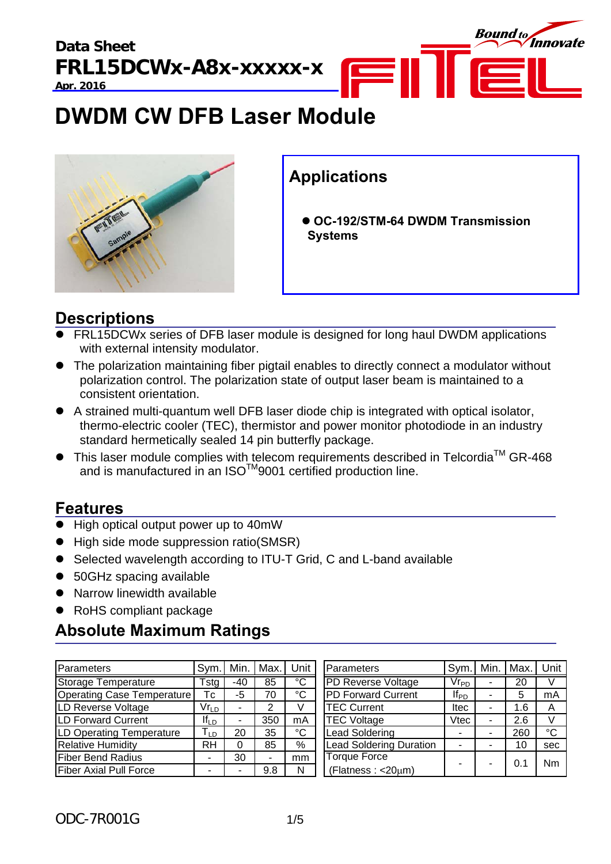

# **DWDM CW DFB Laser Module**



### **Applications**

 **OC-192/STM-64 DWDM Transmission Systems** 

### **Descriptions**

- FRL15DCWx series of DFB laser module is designed for long haul DWDM applications with external intensity modulator.
- The polarization maintaining fiber pigtail enables to directly connect a modulator without polarization control. The polarization state of output laser beam is maintained to a consistent orientation.
- A strained multi-quantum well DFB laser diode chip is integrated with optical isolator, thermo-electric cooler (TEC), thermistor and power monitor photodiode in an industry standard hermetically sealed 14 pin butterfly package.
- $\bullet$  This laser module complies with telecom requirements described in Telcordia<sup>TM</sup> GR-468 and is manufactured in an ISO $^{TM}$ 9001 certified production line.

### **Features**

- High optical output power up to 40mW
- High side mode suppression ratio(SMSR)
- Selected wavelength according to ITU-T Grid, C and L-band available
- 50GHz spacing available
- Narrow linewidth available
- RoHS compliant package

### **Absolute Maximum Ratings**

| Parameters                    | Svm.l                      | Min. | Max. | Unit | <b>Parameters</b>              | Sym.              | Min. | Max. | Unit |
|-------------------------------|----------------------------|------|------|------|--------------------------------|-------------------|------|------|------|
| <b>Storage Temperature</b>    | Tstg                       | -40  | 85   | °C   | <b>PD Reverse Voltage</b>      | $V_{\mathsf{Fp}}$ |      | 20   | v    |
| Operating Case Temperature    | Тc                         | -5   | 70   | °C   | <b>PD Forward Current</b>      | $If_{PD}$         |      | 5    | mA   |
| LD Reverse Voltage            | $Vr_{LD}$                  |      |      |      | <b>TEC Current</b>             | <b>Itec</b>       |      | 1.6  | A    |
| LD Forward Current            | $If_{LD}$                  |      | 350  | mA   | <b>TEC Voltage</b>             | Vtec              |      | 2.6  | V    |
| LD Operating Temperature      | $\mathsf{T}_{\mathsf{LD}}$ | 20   | 35   | °C   | Lead Soldering                 |                   |      | 260  | °C   |
| <b>Relative Humidity</b>      | <b>RH</b>                  |      | 85   | %    | <b>Lead Soldering Duration</b> |                   |      | 10   | sec  |
| <b>Fiber Bend Radius</b>      | -                          | 30   |      | mm   | <b>Torque Force</b>            |                   |      | 0.1  | Nm   |
| <b>Fiber Axial Pull Force</b> |                            |      | 9.8  | N    | (Flatness: < 20µm)             |                   |      |      |      |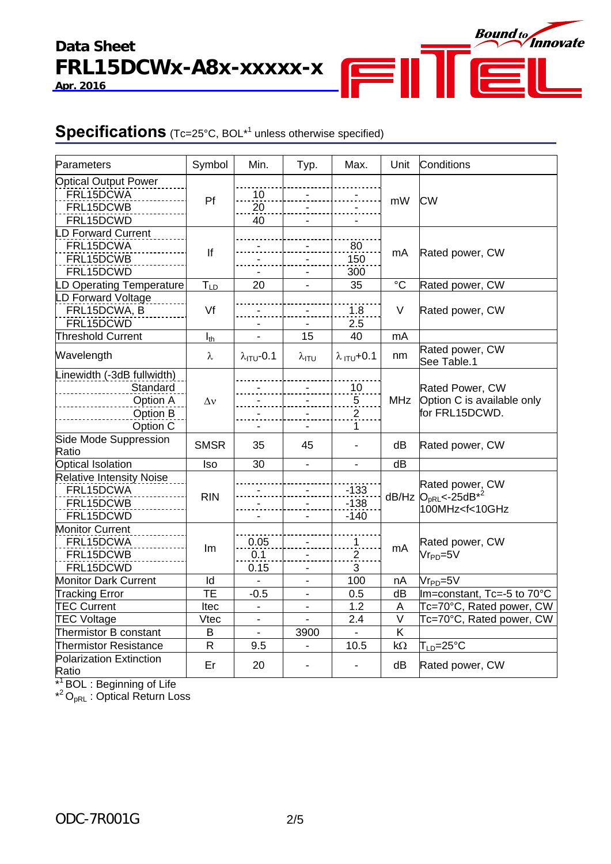# **Data Sheet FRL15DCWx-A8x-xxxxx-x**

**Apr. 2016**



### **Specifications** (Tc=25°C, BOL<sup>\*1</sup> unless otherwise specified)

| Parameters                      | Symbol       | Min.                          | Typ.           | Max.                          | Unit                    | Conditions                                                                 |  |
|---------------------------------|--------------|-------------------------------|----------------|-------------------------------|-------------------------|----------------------------------------------------------------------------|--|
| <b>Optical Output Power</b>     |              |                               |                |                               |                         |                                                                            |  |
| FRL15DCWA                       | Pf           | 10                            |                |                               |                         |                                                                            |  |
| FRL15DCWB                       |              | 20                            |                |                               | mW                      | <b>CW</b>                                                                  |  |
| FRL15DCWD                       |              | 40                            |                |                               |                         |                                                                            |  |
| D Forward Current               |              |                               |                |                               |                         |                                                                            |  |
| FRL15DCWA                       |              |                               |                | 80                            |                         |                                                                            |  |
| FRL15DCWB                       | If           |                               |                | 150                           | mA                      | Rated power, CW                                                            |  |
| FRL15DCWD                       |              |                               |                | 300                           |                         |                                                                            |  |
|                                 |              | 20                            |                | 35                            | $\rm ^{\circ}C$         | Rated power, CW                                                            |  |
| D Operating Temperature         | $T_{LD}$     |                               |                |                               |                         |                                                                            |  |
| D Forward Voltage               |              |                               |                |                               |                         |                                                                            |  |
| FRL15DCWA, B                    | Vf           |                               |                | 1.8                           | V                       | Rated power, CW                                                            |  |
| FRL15DCWD                       |              |                               |                | 2.5                           |                         |                                                                            |  |
| <b>Threshold Current</b>        | $I_{th}$     |                               | 15             | 40                            | mA                      |                                                                            |  |
| Wavelength                      | λ            | $\lambda$ <sub>ITU</sub> -0.1 | $\lambda$ ITU  | $\lambda$ <sub>ITU</sub> +0.1 | nm                      | Rated power, CW                                                            |  |
|                                 |              |                               |                |                               |                         | See Table.1                                                                |  |
| Linewidth (-3dB fullwidth)      |              |                               |                |                               |                         |                                                                            |  |
| Standard                        |              |                               |                | 10                            |                         | Rated Power, CW                                                            |  |
| Option A                        | $\Delta v$   |                               |                | $\sqrt{5}$                    | <b>MHz</b>              | Option C is available only                                                 |  |
| Option B                        |              |                               |                | $\overline{2}$                |                         | for FRL15DCWD.                                                             |  |
| Option C                        |              |                               |                | 1                             |                         |                                                                            |  |
| Side Mode Suppression           |              |                               |                |                               |                         |                                                                            |  |
| Ratio                           | <b>SMSR</b>  | 35                            | 45             |                               | dB                      | Rated power, CW                                                            |  |
| <b>Optical Isolation</b>        | Iso          | 30                            | $\blacksquare$ | $\blacksquare$                | dB                      |                                                                            |  |
| <b>Relative Intensity Noise</b> |              |                               |                |                               |                         |                                                                            |  |
| FRL15DCWA                       |              |                               |                | $-133$                        |                         | Rated power, CW                                                            |  |
| FRL15DCWB                       | <b>RIN</b>   |                               |                | $-138$                        |                         | dB/Hz $O_{pRL}$ <-25dB <sup>*2</sup><br>100MHz <f<10ghz< td=""></f<10ghz<> |  |
| FRL15DCWD                       |              |                               |                | $-140$                        |                         |                                                                            |  |
| <b>Monitor Current</b>          |              |                               |                |                               |                         |                                                                            |  |
| FRL15DCWA                       |              | 0.05                          |                | $\overline{1}$                |                         | Rated power, CW                                                            |  |
| FRL15DCWB                       | Im           | 0.1                           |                | $\overline{2}$                | mA                      | $Vr_{PD} = 5V$                                                             |  |
| FRL15DCWD                       |              | 0.15                          |                | 3                             |                         |                                                                            |  |
| <b>Monitor Dark Current</b>     | Id           |                               |                | 100                           | nA                      | $Vr_{PD} = 5V$                                                             |  |
| <b>Tracking Error</b>           | TE           | $-0.5$                        |                | 0.5                           | dB                      | Im=constant, Tc=-5 to 70°C                                                 |  |
| <b>TEC Current</b>              | Itec         | L,                            | $\blacksquare$ | 1.2                           | A                       | Tc=70°C, Rated power, CW                                                   |  |
| <b>TEC Voltage</b>              | <b>Vtec</b>  | $\blacksquare$                | $\blacksquare$ | 2.4                           | $\overline{\mathsf{V}}$ | Tc=70°C, Rated power, CW                                                   |  |
| Thermistor B constant           | B            |                               | 3900           |                               | Κ                       |                                                                            |  |
| <b>Thermistor Resistance</b>    | $\mathsf{R}$ | $\blacksquare$<br>9.5         | $\blacksquare$ | 10.5                          |                         |                                                                            |  |
|                                 |              |                               |                |                               | $k\Omega$               | $\mathsf{T}_{\mathsf{LD}}\!\!=\!\!25^\circ\!\mathsf{C}$                    |  |
| Polarization Extinction         | Er           | 20                            |                |                               | dB                      | Rated power, CW                                                            |  |
| Ratio                           |              |                               |                |                               |                         |                                                                            |  |

\*<sup>1</sup> BOL : Beginning of Life

 $*^2O_{pRL}$ : Optical Return Loss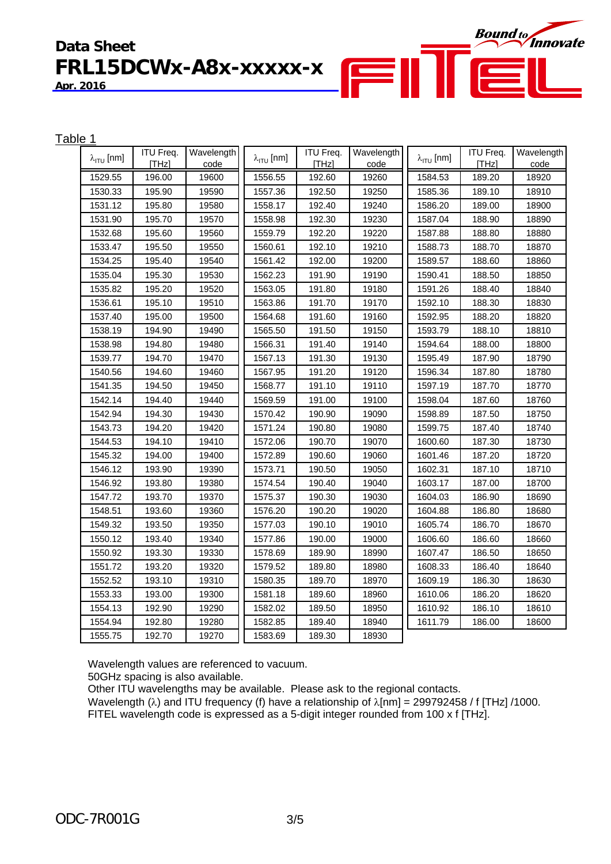# **Data Sheet FRL15DCWx-A8x-xxxxx-x**

**Apr. 2016**

| Table 1 |                             |                  |            |                             |                  |            |                             |                  |            |
|---------|-----------------------------|------------------|------------|-----------------------------|------------------|------------|-----------------------------|------------------|------------|
|         | $\lambda_{\text{ITU}}$ [nm] | <b>ITU Freq.</b> | Wavelength | $\lambda_{\text{ITU}}$ [nm] | <b>ITU Freq.</b> | Wavelength | $\lambda_{\text{ITU}}$ [nm] | <b>ITU Freq.</b> | Wavelength |
|         |                             | [THz]            | code       |                             | [THz]            | code       |                             | [THz]            | code       |
|         | 1529.55                     | 196.00           | 19600      | 1556.55                     | 192.60           | 19260      | 1584.53                     | 189.20           | 18920      |
|         | 1530.33                     | 195.90           | 19590      | 1557.36                     | 192.50           | 19250      | 1585.36                     | 189.10           | 18910      |
|         | 1531.12                     | 195.80           | 19580      | 1558.17                     | 192.40           | 19240      | 1586.20                     | 189.00           | 18900      |
|         | 1531.90                     | 195.70           | 19570      | 1558.98                     | 192.30           | 19230      | 1587.04                     | 188.90           | 18890      |
|         | 1532.68                     | 195.60           | 19560      | 1559.79                     | 192.20           | 19220      | 1587.88                     | 188.80           | 18880      |
|         | 1533.47                     | 195.50           | 19550      | 1560.61                     | 192.10           | 19210      | 1588.73                     | 188.70           | 18870      |
|         | 1534.25                     | 195.40           | 19540      | 1561.42                     | 192.00           | 19200      | 1589.57                     | 188.60           | 18860      |
|         | 1535.04                     | 195.30           | 19530      | 1562.23                     | 191.90           | 19190      | 1590.41                     | 188.50           | 18850      |
|         | 1535.82                     | 195.20           | 19520      | 1563.05                     | 191.80           | 19180      | 1591.26                     | 188.40           | 18840      |
|         | 1536.61                     | 195.10           | 19510      | 1563.86                     | 191.70           | 19170      | 1592.10                     | 188.30           | 18830      |
|         | 1537.40                     | 195.00           | 19500      | 1564.68                     | 191.60           | 19160      | 1592.95                     | 188.20           | 18820      |
|         | 1538.19                     | 194.90           | 19490      | 1565.50                     | 191.50           | 19150      | 1593.79                     | 188.10           | 18810      |
|         | 1538.98                     | 194.80           | 19480      | 1566.31                     | 191.40           | 19140      | 1594.64                     | 188.00           | 18800      |
|         | 1539.77                     | 194.70           | 19470      | 1567.13                     | 191.30           | 19130      | 1595.49                     | 187.90           | 18790      |
|         | 1540.56                     | 194.60           | 19460      | 1567.95                     | 191.20           | 19120      | 1596.34                     | 187.80           | 18780      |
|         | 1541.35                     | 194.50           | 19450      | 1568.77                     | 191.10           | 19110      | 1597.19                     | 187.70           | 18770      |
|         | 1542.14                     | 194.40           | 19440      | 1569.59                     | 191.00           | 19100      | 1598.04                     | 187.60           | 18760      |
|         | 1542.94                     | 194.30           | 19430      | 1570.42                     | 190.90           | 19090      | 1598.89                     | 187.50           | 18750      |
|         | 1543.73                     | 194.20           | 19420      | 1571.24                     | 190.80           | 19080      | 1599.75                     | 187.40           | 18740      |
|         | 1544.53                     | 194.10           | 19410      | 1572.06                     | 190.70           | 19070      | 1600.60                     | 187.30           | 18730      |
|         | 1545.32                     | 194.00           | 19400      | 1572.89                     | 190.60           | 19060      | 1601.46                     | 187.20           | 18720      |
|         | 1546.12                     | 193.90           | 19390      | 1573.71                     | 190.50           | 19050      | 1602.31                     | 187.10           | 18710      |
|         | 1546.92                     | 193.80           | 19380      | 1574.54                     | 190.40           | 19040      | 1603.17                     | 187.00           | 18700      |
|         | 1547.72                     | 193.70           | 19370      | 1575.37                     | 190.30           | 19030      | 1604.03                     | 186.90           | 18690      |
|         | 1548.51                     | 193.60           | 19360      | 1576.20                     | 190.20           | 19020      | 1604.88                     | 186.80           | 18680      |
|         | 1549.32                     | 193.50           | 19350      | 1577.03                     | 190.10           | 19010      | 1605.74                     | 186.70           | 18670      |
|         | 1550.12                     | 193.40           | 19340      | 1577.86                     | 190.00           | 19000      | 1606.60                     | 186.60           | 18660      |
|         | 1550.92                     | 193.30           | 19330      | 1578.69                     | 189.90           | 18990      | 1607.47                     | 186.50           | 18650      |
|         | 1551.72                     | 193.20           | 19320      | 1579.52                     | 189.80           | 18980      | 1608.33                     | 186.40           | 18640      |
|         | 1552.52                     | 193.10           | 19310      | 1580.35                     | 189.70           | 18970      | 1609.19                     | 186.30           | 18630      |
|         | 1553.33                     | 193.00           | 19300      | 1581.18                     | 189.60           | 18960      | 1610.06                     | 186.20           | 18620      |
|         | 1554.13                     | 192.90           | 19290      | 1582.02                     | 189.50           | 18950      | 1610.92                     | 186.10           | 18610      |
|         | 1554.94                     | 192.80           | 19280      | 1582.85                     | 189.40           | 18940      | 1611.79                     | 186.00           | 18600      |
|         | 1555.75                     | 192.70           | 19270      | 1583.69                     | 189.30           | 18930      |                             |                  |            |

F

**Bound to** Innovate

 $\equiv$ 

Wavelength values are referenced to vacuum.

50GHz spacing is also available.

Other ITU wavelengths may be available. Please ask to the regional contacts.

Wavelength ( $\lambda$ ) and ITU frequency (f) have a relationship of  $\lambda$ [nm] = 299792458 / f [THz] /1000. FITEL wavelength code is expressed as a 5-digit integer rounded from 100 x f [THz].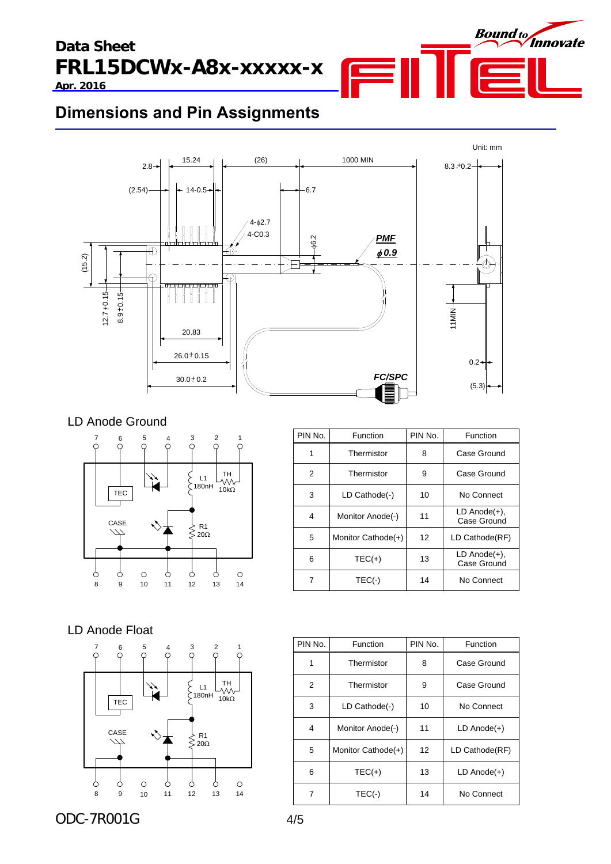



### **Dimensions and Pin Assignments**



### LD Anode Ground



| PIN No. | Function           | PIN No. | Function                          |
|---------|--------------------|---------|-----------------------------------|
| 1       | Thermistor         | 8       | Case Ground                       |
| 2       | Thermistor         | 9       | Case Ground                       |
| 3       | LD Cathode(-)      | 10      | No Connect                        |
| 4       | Monitor Anode(-)   | 11      | $LD$ Anode $(+)$ ,<br>Case Ground |
| 5       | Monitor Cathode(+) | 12      | LD Cathode(RF)                    |
| 6       | $TEC(+)$           | 13      | $LD$ Anode $(+)$ ,<br>Case Ground |
| 7       | $TEC(-)$           | 14      | No Connect                        |

### LD Anode Float



| PIN No. | Function           | PIN No. | Function         |
|---------|--------------------|---------|------------------|
| 1       | Thermistor         | 8       | Case Ground      |
| 2       | Thermistor         | 9       | Case Ground      |
| 3       | LD Cathode(-)      | 10      | No Connect       |
| 4       | Monitor Anode(-)   | 11      | $LD$ Anode $(+)$ |
| 5       | Monitor Cathode(+) | 12      | LD Cathode(RF)   |
| 6       | $TEC(+)$           | 13      | $LD$ Anode $(+)$ |
| 7       | $TEC(-)$           | 14      | No Connect       |

ODC-7R001G 4/5